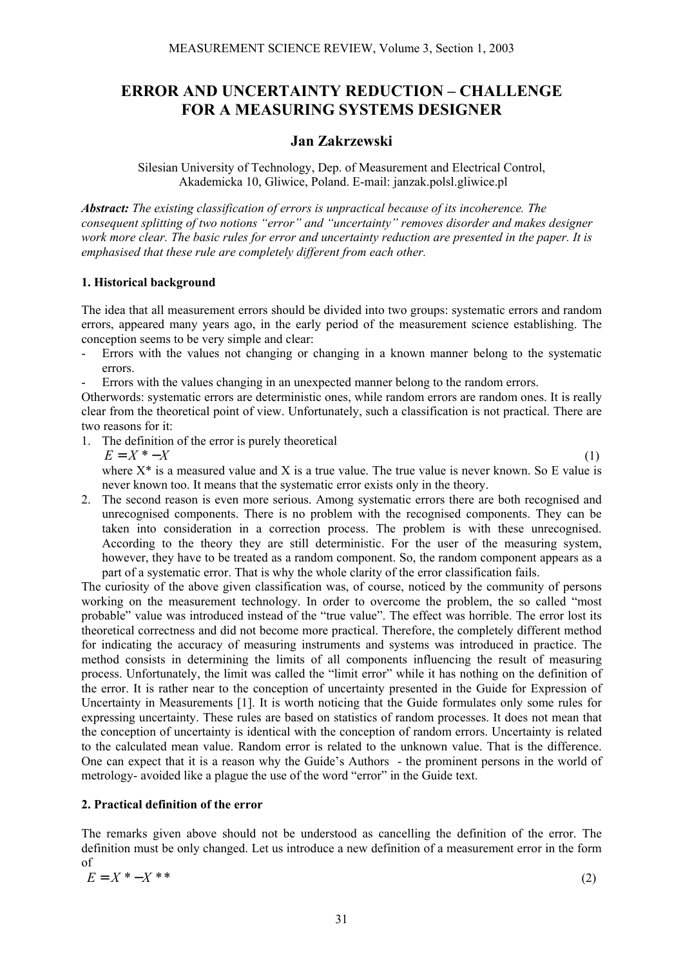# **ERROR AND UNCERTAINTY REDUCTION – CHALLENGE FOR A MEASURING SYSTEMS DESIGNER**

## **Jan Zakrzewski**

Silesian University of Technology, Dep. of Measurement and Electrical Control, Akademicka 10, Gliwice, Poland. E-mail: janzak.polsl.gliwice.pl

*Abstract: The existing classification of errors is unpractical because of its incoherence. The consequent splitting of two notions "error" and "uncertainty" removes disorder and makes designer work more clear. The basic rules for error and uncertainty reduction are presented in the paper. It is emphasised that these rule are completely different from each other.* 

### **1. Historical background**

The idea that all measurement errors should be divided into two groups: systematic errors and random errors, appeared many years ago, in the early period of the measurement science establishing. The conception seems to be very simple and clear:

- Errors with the values not changing or changing in a known manner belong to the systematic errors.
- Errors with the values changing in an unexpected manner belong to the random errors.

Otherwords: systematic errors are deterministic ones, while random errors are random ones. It is really clear from the theoretical point of view. Unfortunately, such a classification is not practical. There are two reasons for it:

1. The definition of the error is purely theoretical  $E = X^* - X$  (1)

where  $X^*$  is a measured value and X is a true value. The true value is never known. So E value is never known too. It means that the systematic error exists only in the theory.

2. The second reason is even more serious. Among systematic errors there are both recognised and unrecognised components. There is no problem with the recognised components. They can be taken into consideration in a correction process. The problem is with these unrecognised. According to the theory they are still deterministic. For the user of the measuring system, however, they have to be treated as a random component. So, the random component appears as a part of a systematic error. That is why the whole clarity of the error classification fails.

The curiosity of the above given classification was, of course, noticed by the community of persons working on the measurement technology. In order to overcome the problem, the so called "most probable" value was introduced instead of the "true value". The effect was horrible. The error lost its theoretical correctness and did not become more practical. Therefore, the completely different method for indicating the accuracy of measuring instruments and systems was introduced in practice. The method consists in determining the limits of all components influencing the result of measuring process. Unfortunately, the limit was called the "limit error" while it has nothing on the definition of the error. It is rather near to the conception of uncertainty presented in the Guide for Expression of Uncertainty in Measurements [1]. It is worth noticing that the Guide formulates only some rules for expressing uncertainty. These rules are based on statistics of random processes. It does not mean that the conception of uncertainty is identical with the conception of random errors. Uncertainty is related to the calculated mean value. Random error is related to the unknown value. That is the difference. One can expect that it is a reason why the Guide's Authors - the prominent persons in the world of metrology- avoided like a plague the use of the word "error" in the Guide text.

## **2. Practical definition of the error**

The remarks given above should not be understood as cancelling the definition of the error. The definition must be only changed. Let us introduce a new definition of a measurement error in the form of

$$
E = X^* - X^{**} \tag{2}
$$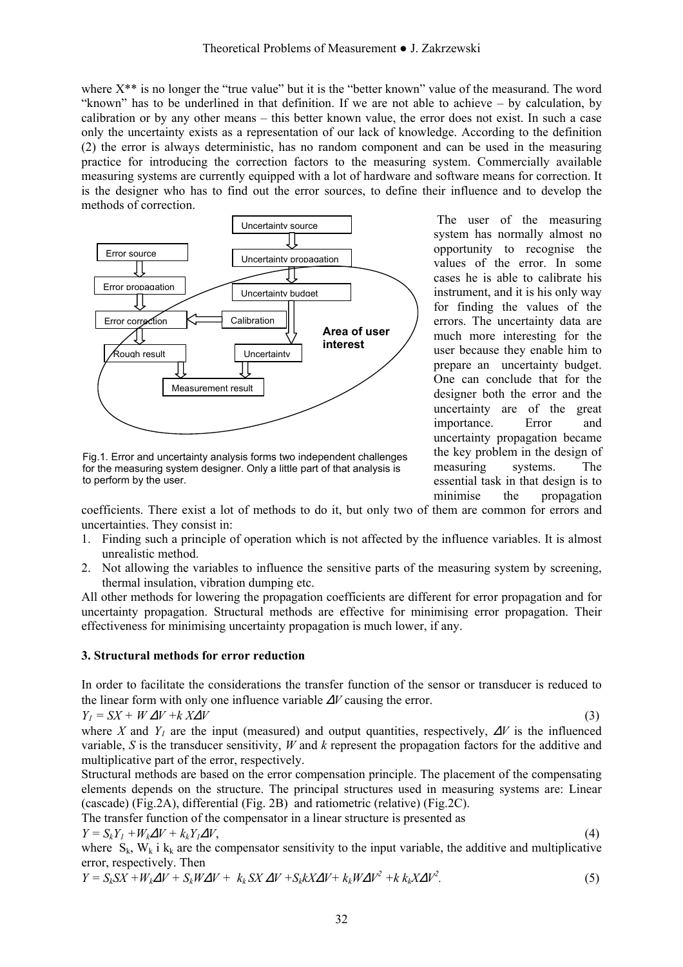where  $X^{**}$  is no longer the "true value" but it is the "better known" value of the measurand. The word "known" has to be underlined in that definition. If we are not able to achieve – by calculation, by calibration or by any other means – this better known value, the error does not exist. In such a case only the uncertainty exists as a representation of our lack of knowledge. According to the definition (2) the error is always deterministic, has no random component and can be used in the measuring practice for introducing the correction factors to the measuring system. Commercially available measuring systems are currently equipped with a lot of hardware and software means for correction. It is the designer who has to find out the error sources, to define their influence and to develop the methods of correction.



Fig.1. Error and uncertainty analysis forms two independent challenges for the measuring system designer. Only a little part of that analysis is to perform by the user.

 The user of the measuring system has normally almost no opportunity to recognise the values of the error. In some cases he is able to calibrate his instrument, and it is his only way for finding the values of the errors. The uncertainty data are much more interesting for the user because they enable him to prepare an uncertainty budget. One can conclude that for the designer both the error and the uncertainty are of the great importance. Error and uncertainty propagation became the key problem in the design of measuring systems. The essential task in that design is to minimise the propagation

coefficients. There exist a lot of methods to do it, but only two of them are common for errors and uncertainties. They consist in:

- 1. Finding such a principle of operation which is not affected by the influence variables. It is almost unrealistic method.
- 2. Not allowing the variables to influence the sensitive parts of the measuring system by screening, thermal insulation, vibration dumping etc.

All other methods for lowering the propagation coefficients are different for error propagation and for uncertainty propagation. Structural methods are effective for minimising error propagation. Their effectiveness for minimising uncertainty propagation is much lower, if any.

#### **3. Structural methods for error reduction**

In order to facilitate the considerations the transfer function of the sensor or transducer is reduced to the linear form with only one influence variable ∆*V* causing the error.

$$
Y_l = SX + W\Delta V + kX\Delta V \tag{3}
$$

where *X* and *Y<sub>1</sub>* are the input (measured) and output quantities, respectively,  $\Delta V$  is the influenced variable, *S* is the transducer sensitivity, *W* and *k* represent the propagation factors for the additive and multiplicative part of the error, respectively.

Structural methods are based on the error compensation principle. The placement of the compensating elements depends on the structure. The principal structures used in measuring systems are: Linear (cascade) (Fig.2A), differential (Fig. 2B) and ratiometric (relative) (Fig.2C).

The transfer function of the compensator in a linear structure is presented as

$$
Y = S_k Y_1 + W_k \Delta V + k_k Y_1 \Delta V, \tag{4}
$$

where  $S_k$ ,  $W_k$  i  $k_k$  are the compensator sensitivity to the input variable, the additive and multiplicative error, respectively. Then

$$
Y = S_k S X + W_k \Delta V + S_k W \Delta V + k_k S X \Delta V + S_k k X \Delta V + k_k W \Delta V^2 + k_k K \Delta V^2. \tag{5}
$$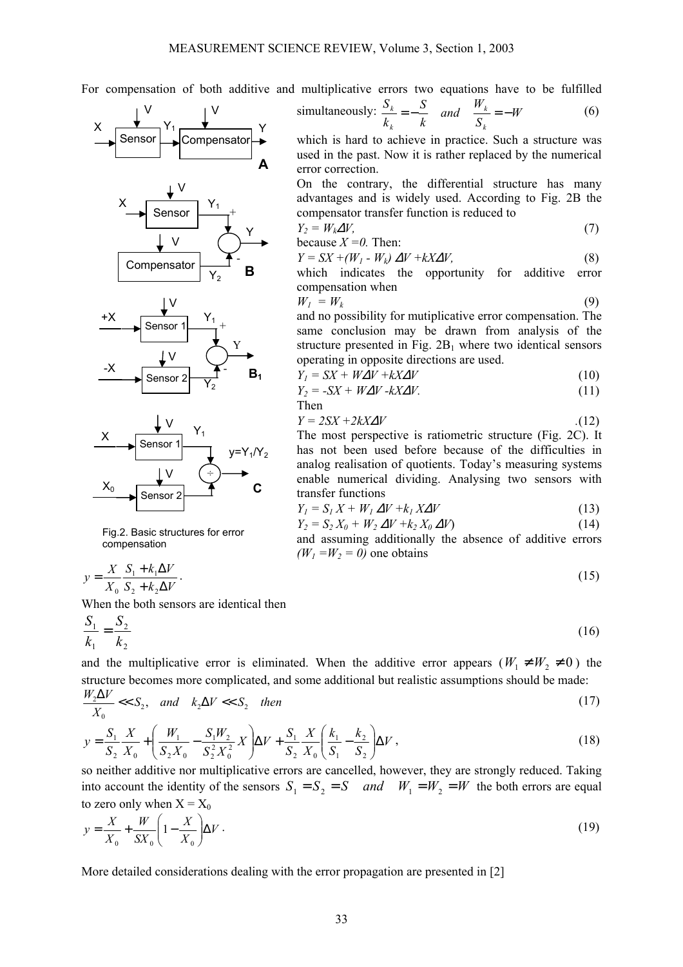For compensation of both additive and multiplicative errors two equations have to be fulfilled

error correction.

because  $X = 0$ . Then:

compensation when

Then

simultaneously:  $\frac{B_k}{A} = -\frac{B}{A}$  and  $\frac{W_k}{A} = -W$ 

compensator transfer function is reduced to

operating in opposite directions are used.

*k S*

*k*

*k S*

which is hard to achieve in practice. Such a structure was used in the past. Now it is rather replaced by the numerical

On the contrary, the differential structure has many advantages and is widely used. According to Fig. 2B the

 $Y_2 = W_k \Delta V,$  (7)

 $Y = SX + (W_1 - W_k) \Delta V + kX\Delta V,$  (8) which indicates the opportunity for additive error

 $W_1 = W_k$  (9) and no possibility for mutiplicative error compensation. The same conclusion may be drawn from analysis of the structure presented in Fig.  $2B_1$  where two identical sensors

 $Y_1 = SX + W\Delta V + kX\Delta V$  (10)  $Y_2 = -SX + W\Delta V - kX\Delta V.$  (11)

 $Y = 2SX + 2kX\Delta V$  ... (12) The most perspective is ratiometric structure (Fig. 2C). It has not been used before because of the difficulties in analog realisation of quotients. Today's measuring systems enable numerical dividing. Analysing two sensors with

 $Y_l = S_l X + W_l \Delta V + k_l X \Delta V$  (13)  $Y_2 = S_2 X_0 + W_2 \Delta V + k_2 X_0 \Delta V$  (14) and assuming additionally the absence of additive errors

*S and*  $\frac{W}{Z}$ 

*k k*

 $\frac{k}{k} = -\frac{0}{l}$  and  $\frac{W_k}{g} = -W$  (6)









Fig.2. Basic structures for error compensation

$$
y = \frac{X}{X_0} \frac{S_1 + k_1 \Delta V}{S_2 + k_2 \Delta V}.
$$
\n(15)

When the both sensors are identical then

$$
\frac{S_1}{k_1} = \frac{S_2}{k_2} \tag{16}
$$

transfer functions

 $(W_1 = W_2 = 0)$  one obtains

and the multiplicative error is eliminated. When the additive error appears ( $W_1 \neq W_2 \neq 0$ ) the structure becomes more complicated, and some additional but realistic assumptions should be made: *W V*

$$
\frac{W_2 \Delta V}{X_0} << S_2, \quad \text{and} \quad k_2 \Delta V << S_2 \quad \text{then} \tag{17}
$$

$$
y = \frac{S_1}{S_2} \frac{X}{X_0} + \left(\frac{W_1}{S_2 X_0} - \frac{S_1 W_2}{S_2^2 X_0^2} X\right) \Delta V + \frac{S_1}{S_2} \frac{X}{X_0} \left(\frac{k_1}{S_1} - \frac{k_2}{S_2}\right) \Delta V,
$$
\n(18)

so neither additive nor multiplicative errors are cancelled, however, they are strongly reduced. Taking into account the identity of the sensors  $S_1 = S_2 = S$  *and*  $W_1 = W_2 = W$  the both errors are equal to zero only when  $X = X_0$ 

$$
y = \frac{X}{X_0} + \frac{W}{SX_0} \left(1 - \frac{X}{X_0}\right) \Delta V \tag{19}
$$

33

More detailed considerations dealing with the error propagation are presented in [2]